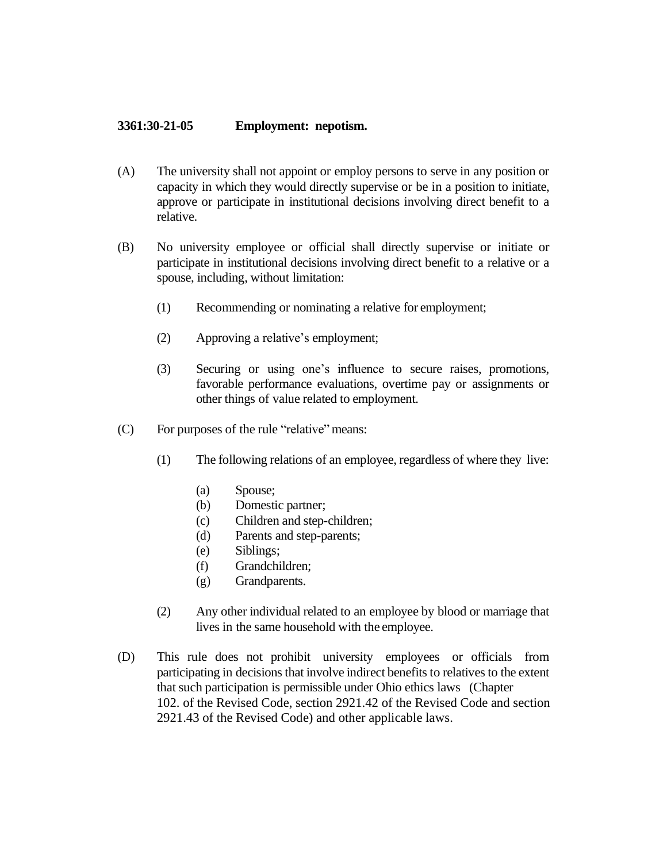## **3361:30-21-05 Employment: nepotism.**

- (A) The university shall not appoint or employ persons to serve in any position or capacity in which they would directly supervise or be in a position to initiate, approve or participate in institutional decisions involving direct benefit to a relative.
- (B) No university employee or official shall directly supervise or initiate or participate in institutional decisions involving direct benefit to a relative or a spouse, including, without limitation:
	- (1) Recommending or nominating a relative for employment;
	- (2) Approving a relative's employment;
	- (3) Securing or using one's influence to secure raises, promotions, favorable performance evaluations, overtime pay or assignments or other things of value related to employment.
- (C) For purposes of the rule "relative" means:
	- (1) The following relations of an employee, regardless of where they live:
		- (a) Spouse;
		- (b) Domestic partner;
		- (c) Children and step-children;
		- (d) Parents and step-parents;
		- (e) Siblings;
		- (f) Grandchildren;
		- (g) Grandparents.
	- (2) Any other individual related to an employee by blood or marriage that lives in the same household with the employee.
- (D) This rule does not prohibit university employees or officials from participating in decisions that involve indirect benefits to relatives to the extent that such participation is permissible under Ohio ethics laws (Chapter 102. of the Revised Code, section 2921.42 of the Revised Code and section 2921.43 of the Revised Code) and other applicable laws.